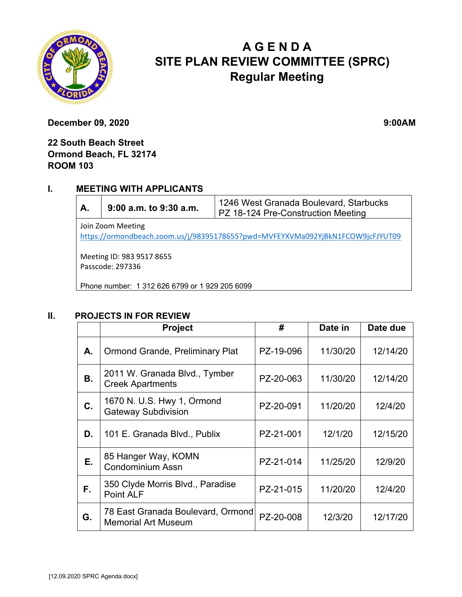

# **A G E N D A SITE PLAN REVIEW COMMITTEE (SPRC) Regular Meeting**

**December 09, 2020** 9:00AM

## **22 South Beach Street Ormond Beach, FL 32174 ROOM 103**

### **I. MEETING WITH APPLICANTS**

| А.                                                                             | 9:00 a.m. to 9:30 a.m. | 1246 West Granada Boulevard, Starbucks<br>PZ 18-124 Pre-Construction Meeting |  |  |  |  |
|--------------------------------------------------------------------------------|------------------------|------------------------------------------------------------------------------|--|--|--|--|
| Join Zoom Meeting                                                              |                        |                                                                              |  |  |  |  |
| https://ormondbeach.zoom.us/j/98395178655?pwd=MVFEYXVMa092YjBkN1FCOW9jcFJYUT09 |                        |                                                                              |  |  |  |  |

Meeting ID: 983 9517 8655 Passcode: 297336

Phone number: 1 312 626 6799 or 1 929 205 6099

#### **II. PROJECTS IN FOR REVIEW**

|    | <b>Project</b>                                                  | #         | Date in  | Date due |
|----|-----------------------------------------------------------------|-----------|----------|----------|
| А. | <b>Ormond Grande, Preliminary Plat</b>                          | PZ-19-096 | 11/30/20 | 12/14/20 |
| В. | 2011 W. Granada Blvd., Tymber<br><b>Creek Apartments</b>        | PZ-20-063 | 11/30/20 | 12/14/20 |
| C. | 1670 N. U.S. Hwy 1, Ormond<br><b>Gateway Subdivision</b>        | PZ-20-091 | 11/20/20 | 12/4/20  |
| D. | 101 E. Granada Blvd., Publix                                    | PZ-21-001 | 12/1/20  | 12/15/20 |
| Е. | 85 Hanger Way, KOMN<br><b>Condominium Assn</b>                  | PZ-21-014 | 11/25/20 | 12/9/20  |
| F. | 350 Clyde Morris Blvd., Paradise<br>Point ALF                   | PZ-21-015 | 11/20/20 | 12/4/20  |
| G. | 78 East Granada Boulevard, Ormond<br><b>Memorial Art Museum</b> | PZ-20-008 | 12/3/20  | 12/17/20 |